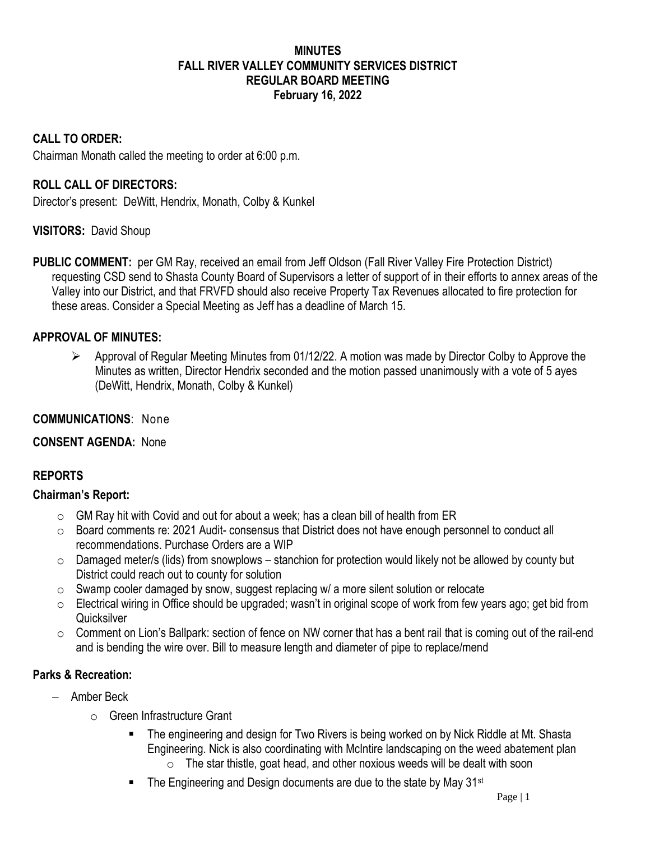### **MINUTES FALL RIVER VALLEY COMMUNITY SERVICES DISTRICT REGULAR BOARD MEETING February 16, 2022**

#### **CALL TO ORDER:**

Chairman Monath called the meeting to order at 6:00 p.m.

### **ROLL CALL OF DIRECTORS:**

Director's present: DeWitt, Hendrix, Monath, Colby & Kunkel

#### **VISITORS:** David Shoup

**PUBLIC COMMENT:** per GM Ray, received an email from Jeff Oldson (Fall River Valley Fire Protection District) requesting CSD send to Shasta County Board of Supervisors a letter of support of in their efforts to annex areas of the Valley into our District, and that FRVFD should also receive Property Tax Revenues allocated to fire protection for these areas. Consider a Special Meeting as Jeff has a deadline of March 15.

#### **APPROVAL OF MINUTES:**

 $\triangleright$  Approval of Regular Meeting Minutes from 01/12/22. A motion was made by Director Colby to Approve the Minutes as written, Director Hendrix seconded and the motion passed unanimously with a vote of 5 ayes (DeWitt, Hendrix, Monath, Colby & Kunkel)

#### **COMMUNICATIONS**: None

### **CONSENT AGENDA:** None

### **REPORTS**

#### **Chairman's Report:**

- $\circ$  GM Ray hit with Covid and out for about a week; has a clean bill of health from ER
- $\circ$  Board comments re: 2021 Audit- consensus that District does not have enough personnel to conduct all recommendations. Purchase Orders are a WIP
- $\circ$  Damaged meter/s (lids) from snowplows stanchion for protection would likely not be allowed by county but District could reach out to county for solution
- o Swamp cooler damaged by snow, suggest replacing w/ a more silent solution or relocate
- o Electrical wiring in Office should be upgraded; wasn't in original scope of work from few years ago; get bid from **Quicksilver**
- $\circ$  Comment on Lion's Ballpark: section of fence on NW corner that has a bent rail that is coming out of the rail-end and is bending the wire over. Bill to measure length and diameter of pipe to replace/mend

#### **Parks & Recreation:**

- − Amber Beck
	- o Green Infrastructure Grant
		- The engineering and design for Two Rivers is being worked on by Nick Riddle at Mt. Shasta Engineering. Nick is also coordinating with McIntire landscaping on the weed abatement plan
			- $\circ$  The star thistle, goat head, and other noxious weeds will be dealt with soon
		- The Engineering and Design documents are due to the state by May 31<sup>st</sup>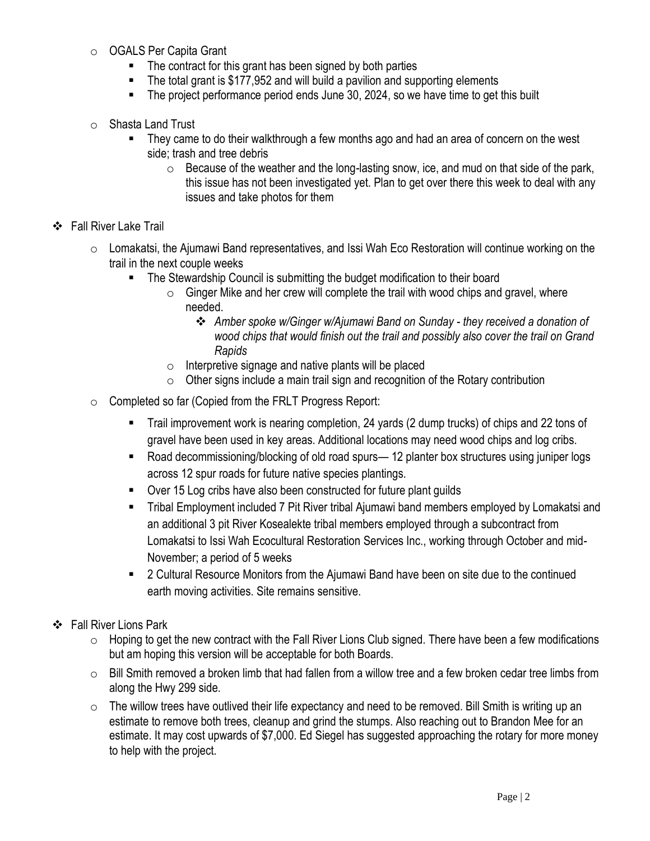- o OGALS Per Capita Grant
	- The contract for this grant has been signed by both parties
	- The total grant is \$177,952 and will build a pavilion and supporting elements
	- The project performance period ends June 30, 2024, so we have time to get this built
- o Shasta Land Trust
	- They came to do their walkthrough a few months ago and had an area of concern on the west side; trash and tree debris
		- $\circ$  Because of the weather and the long-lasting snow, ice, and mud on that side of the park, this issue has not been investigated yet. Plan to get over there this week to deal with any issues and take photos for them

### ❖ Fall River Lake Trail

- $\circ$  Lomakatsi, the Ajumawi Band representatives, and Issi Wah Eco Restoration will continue working on the trail in the next couple weeks
	- The Stewardship Council is submitting the budget modification to their board
		- $\circ$  Ginger Mike and her crew will complete the trail with wood chips and gravel, where needed.
			- ❖ *Amber spoke w/Ginger w/Ajumawi Band on Sunday - they received a donation of wood chips that would finish out the trail and possibly also cover the trail on Grand Rapids*
		- o Interpretive signage and native plants will be placed
		- $\circ$  Other signs include a main trail sign and recognition of the Rotary contribution
- o Completed so far (Copied from the FRLT Progress Report:
	- Trail improvement work is nearing completion, 24 yards (2 dump trucks) of chips and 22 tons of gravel have been used in key areas. Additional locations may need wood chips and log cribs.
	- Road decommissioning/blocking of old road spurs— 12 planter box structures using juniper logs across 12 spur roads for future native species plantings.
	- Over 15 Log cribs have also been constructed for future plant guilds
	- Tribal Employment included 7 Pit River tribal Ajumawi band members employed by Lomakatsi and an additional 3 pit River Kosealekte tribal members employed through a subcontract from Lomakatsi to Issi Wah Ecocultural Restoration Services Inc., working through October and mid-November; a period of 5 weeks
	- 2 Cultural Resource Monitors from the Ajumawi Band have been on site due to the continued earth moving activities. Site remains sensitive.
- ❖ Fall River Lions Park
	- $\circ$  Hoping to get the new contract with the Fall River Lions Club signed. There have been a few modifications but am hoping this version will be acceptable for both Boards.
	- $\circ$  Bill Smith removed a broken limb that had fallen from a willow tree and a few broken cedar tree limbs from along the Hwy 299 side.
	- $\circ$  The willow trees have outlived their life expectancy and need to be removed. Bill Smith is writing up an estimate to remove both trees, cleanup and grind the stumps. Also reaching out to Brandon Mee for an estimate. It may cost upwards of \$7,000. Ed Siegel has suggested approaching the rotary for more money to help with the project.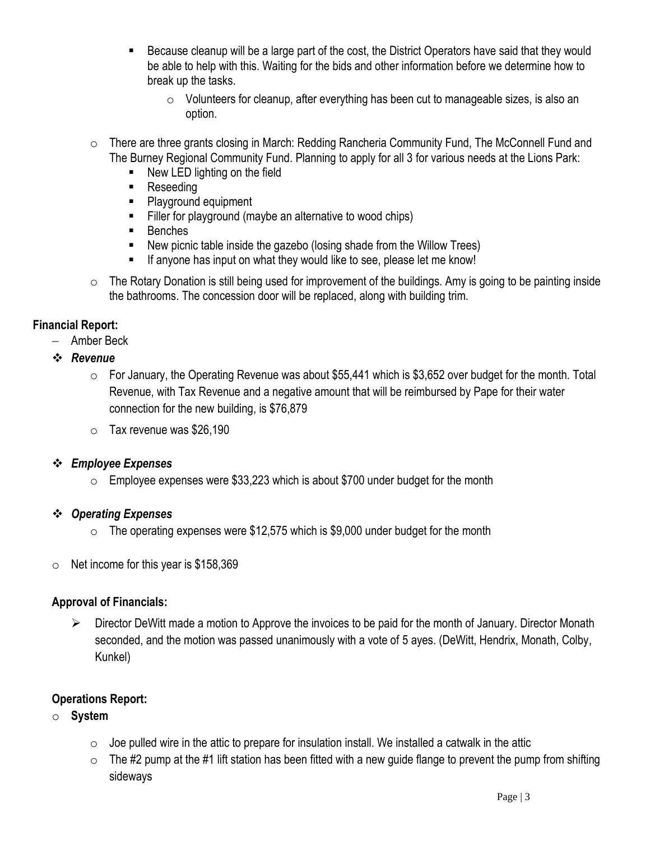- Because cleanup will be a large part of the cost, the District Operators have said that they would be able to help with this. Waiting for the bids and other information before we determine how to break up the tasks.
	- o Volunteers for cleanup, after everything has been cut to manageable sizes, is also an option.
- $\circ$  There are three grants closing in March: Redding Rancheria Community Fund, The McConnell Fund and The Burney Regional Community Fund. Planning to apply for all 3 for various needs at the Lions Park:
	- New LED lighting on the field
	- Reseeding
	- Playground equipment
	- Filler for playground (maybe an alternative to wood chips)
	- Benches
	- New picnic table inside the gazebo (losing shade from the Willow Trees)
	- If anyone has input on what they would like to see, please let me know!
- o The Rotary Donation is still being used for improvement of the buildings. Amy is going to be painting inside the bathrooms. The concession door will be replaced, along with building trim.

### **Financial Report:**

- − Amber Beck
- ❖ *Revenue*
	- $\circ$  For January, the Operating Revenue was about \$55,441 which is \$3,652 over budget for the month. Total Revenue, with Tax Revenue and a negative amount that will be reimbursed by Pape for their water connection for the new building, is \$76,879
	- $\circ$  Tax revenue was \$26,190

### ❖ *Employee Expenses*

 $\circ$  Employee expenses were \$33,223 which is about \$700 under budget for the month

### ❖ *Operating Expenses*

- $\circ$  The operating expenses were \$12,575 which is \$9,000 under budget for the month
- $\circ$  Net income for this year is \$158,369

### **Approval of Financials:**

➢ Director DeWitt made a motion to Approve the invoices to be paid for the month of January. Director Monath seconded, and the motion was passed unanimously with a vote of 5 ayes. (DeWitt, Hendrix, Monath, Colby, Kunkel)

### **Operations Report:**

- o **System**
	- $\circ$  Joe pulled wire in the attic to prepare for insulation install. We installed a catwalk in the attic
	- $\circ$  The #2 pump at the #1 lift station has been fitted with a new quide flange to prevent the pump from shifting sideways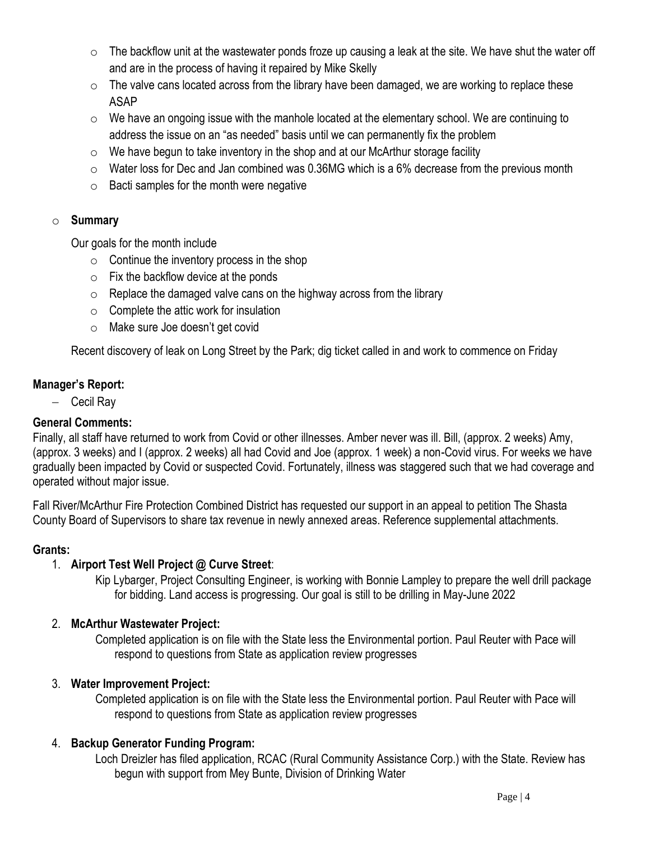- $\circ$  The backflow unit at the wastewater ponds froze up causing a leak at the site. We have shut the water off and are in the process of having it repaired by Mike Skelly
- $\circ$  The valve cans located across from the library have been damaged, we are working to replace these ASAP
- $\circ$  We have an ongoing issue with the manhole located at the elementary school. We are continuing to address the issue on an "as needed" basis until we can permanently fix the problem
- $\circ$  We have begun to take inventory in the shop and at our McArthur storage facility
- $\circ$  Water loss for Dec and Jan combined was 0.36MG which is a 6% decrease from the previous month
- $\circ$  Bacti samples for the month were negative

## o **Summary**

Our goals for the month include

- $\circ$  Continue the inventory process in the shop
- $\circ$  Fix the backflow device at the ponds
- $\circ$  Replace the damaged valve cans on the highway across from the library
- $\circ$  Complete the attic work for insulation
- o Make sure Joe doesn't get covid

Recent discovery of leak on Long Street by the Park; dig ticket called in and work to commence on Friday

## **Manager's Report:**

− Cecil Ray

# **General Comments:**

Finally, all staff have returned to work from Covid or other illnesses. Amber never was ill. Bill, (approx. 2 weeks) Amy, (approx. 3 weeks) and I (approx. 2 weeks) all had Covid and Joe (approx. 1 week) a non-Covid virus. For weeks we have gradually been impacted by Covid or suspected Covid. Fortunately, illness was staggered such that we had coverage and operated without major issue.

Fall River/McArthur Fire Protection Combined District has requested our support in an appeal to petition The Shasta County Board of Supervisors to share tax revenue in newly annexed areas. Reference supplemental attachments.

### **Grants:**

# 1. **Airport Test Well Project @ Curve Street**:

Kip Lybarger, Project Consulting Engineer, is working with Bonnie Lampley to prepare the well drill package for bidding. Land access is progressing. Our goal is still to be drilling in May-June 2022

# 2. **McArthur Wastewater Project:**

Completed application is on file with the State less the Environmental portion. Paul Reuter with Pace will respond to questions from State as application review progresses

# 3. **Water Improvement Project:**

Completed application is on file with the State less the Environmental portion. Paul Reuter with Pace will respond to questions from State as application review progresses

# 4. **Backup Generator Funding Program:**

Loch Dreizler has filed application, RCAC (Rural Community Assistance Corp.) with the State. Review has begun with support from Mey Bunte, Division of Drinking Water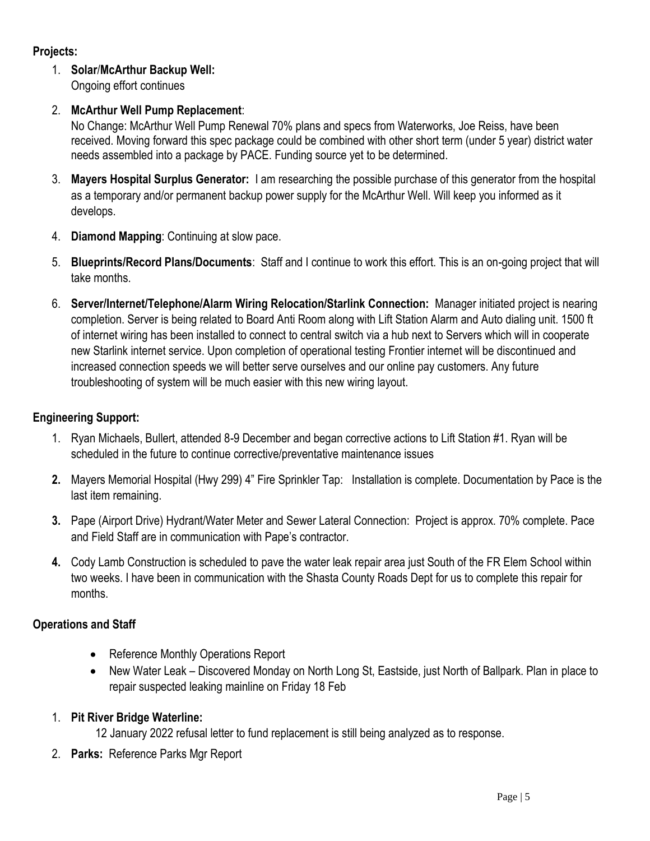## **Projects:**

## 1. **Solar**/**McArthur Backup Well:**

Ongoing effort continues

## 2. **McArthur Well Pump Replacement**:

No Change: McArthur Well Pump Renewal 70% plans and specs from Waterworks, Joe Reiss, have been received. Moving forward this spec package could be combined with other short term (under 5 year) district water needs assembled into a package by PACE. Funding source yet to be determined.

- 3. **Mayers Hospital Surplus Generator:** I am researching the possible purchase of this generator from the hospital as a temporary and/or permanent backup power supply for the McArthur Well. Will keep you informed as it develops.
- 4. **Diamond Mapping**: Continuing at slow pace.
- 5. **Blueprints/Record Plans/Documents**: Staff and I continue to work this effort. This is an on-going project that will take months.
- 6. **Server/Internet/Telephone/Alarm Wiring Relocation/Starlink Connection:** Manager initiated project is nearing completion. Server is being related to Board Anti Room along with Lift Station Alarm and Auto dialing unit. 1500 ft of internet wiring has been installed to connect to central switch via a hub next to Servers which will in cooperate new Starlink internet service. Upon completion of operational testing Frontier internet will be discontinued and increased connection speeds we will better serve ourselves and our online pay customers. Any future troubleshooting of system will be much easier with this new wiring layout.

## **Engineering Support:**

- 1. Ryan Michaels, Bullert, attended 8-9 December and began corrective actions to Lift Station #1. Ryan will be scheduled in the future to continue corrective/preventative maintenance issues
- **2.** Mayers Memorial Hospital (Hwy 299) 4" Fire Sprinkler Tap: Installation is complete. Documentation by Pace is the last item remaining.
- **3.** Pape (Airport Drive) Hydrant/Water Meter and Sewer Lateral Connection: Project is approx. 70% complete. Pace and Field Staff are in communication with Pape's contractor.
- **4.** Cody Lamb Construction is scheduled to pave the water leak repair area just South of the FR Elem School within two weeks. I have been in communication with the Shasta County Roads Dept for us to complete this repair for months.

# **Operations and Staff**

- Reference Monthly Operations Report
- New Water Leak Discovered Monday on North Long St, Eastside, just North of Ballpark. Plan in place to repair suspected leaking mainline on Friday 18 Feb

### 1. **Pit River Bridge Waterline:**

12 January 2022 refusal letter to fund replacement is still being analyzed as to response.

2. **Parks:** Reference Parks Mgr Report